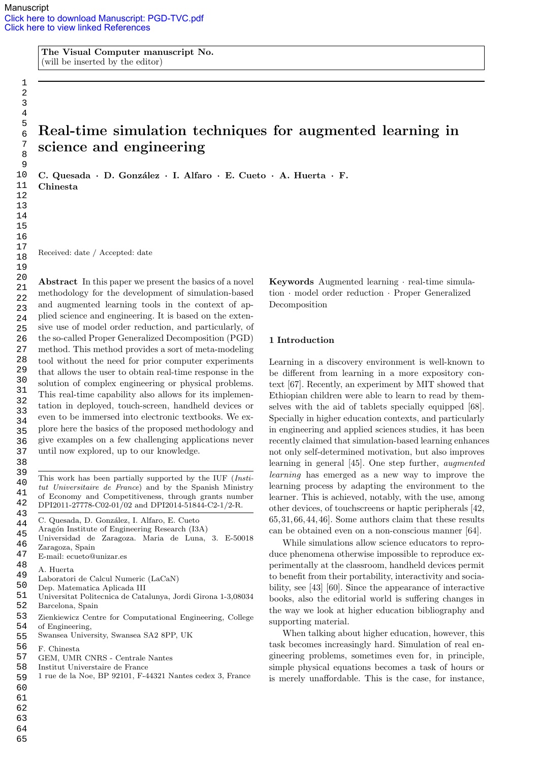The Visual Computer manuscript No. (will be inserted by the editor)

# Real-time simulation techniques for augmented learning in science and engineering

C. Quesada · D. González · I. Alfaro · E. Cueto · A. Huerta · F. Chinesta

Received: date / Accepted: date

Abstract In this paper we present the basics of a novel methodology for the development of simulation-based and augmented learning tools in the context of applied science and engineering. It is based on the extensive use of model order reduction, and particularly, of the so-called Proper Generalized Decomposition (PGD) method. This method provides a sort of meta-modeling tool without the need for prior computer experiments that allows the user to obtain real-time response in the solution of complex engineering or physical problems. This real-time capability also allows for its implementation in deployed, touch-screen, handheld devices or even to be immersed into electronic textbooks. We explore here the basics of the proposed methodology and give examples on a few challenging applications never until now explored, up to our knowledge.

- C. Quesada, D. González, I. Alfaro, E. Cueto 43 44
- Aragón Institute of Engineering Research (I3A) 45
- Universidad de Zaragoza. Maria de Luna, 3. E-50018 Zaragoza, Spain 46 47
- E-mail: ecueto@unizar.es 48
- A. Huerta 49
- Laboratori de Calcul Numeric (LaCaN)
- Dep. Matematica Aplicada III 50
- Universitat Politecnica de Catalunya, Jordi Girona 1-3,08034 Barcelona, Spain 51 52
- Zienkiewicz Centre for Computational Engineering, College of Engineering, 53 54
- Swansea University, Swansea SA2 8PP, UK 55
- F. Chinesta 56
- GEM, UMR CNRS Centrale Nantes 57
- Institut Universtaire de France 58
- 1 rue de la Noe, BP 92101, F-44321 Nantes cedex 3, France 59
- 60
- 61
- 62 63
- 64
- 65

Keywords Augmented learning · real-time simulation · model order reduction · Proper Generalized Decomposition

#### 1 Introduction

Learning in a discovery environment is well-known to be different from learning in a more expository context [67]. Recently, an experiment by MIT showed that Ethiopian children were able to learn to read by themselves with the aid of tablets specially equipped [68]. Specially in higher education contexts, and particularly in engineering and applied sciences studies, it has been recently claimed that simulation-based learning enhances not only self-determined motivation, but also improves learning in general [45]. One step further, augmented learning has emerged as a new way to improve the learning process by adapting the environment to the learner. This is achieved, notably, with the use, among other devices, of touchscreens or haptic peripherals [42, 65, 31, 66, 44, 46]. Some authors claim that these results can be obtained even on a non-conscious manner [64].

While simulations allow science educators to reproduce phenomena otherwise impossible to reproduce experimentally at the classroom, handheld devices permit to benefit from their portability, interactivity and sociability, see [43] [60]. Since the appearance of interactive books, also the editorial world is suffering changes in the way we look at higher education bibliography and supporting material.

When talking about higher education, however, this task becomes increasingly hard. Simulation of real engineering problems, sometimes even for, in principle, simple physical equations becomes a task of hours or is merely unaffordable. This is the case, for instance,

This work has been partially supported by the IUF (Institut Universitaire de France) and by the Spanish Ministry of Economy and Competitiveness, through grants number DPI2011-27778-C02-01/02 and DPI2014-51844-C2-1/2-R. 39 40 41 42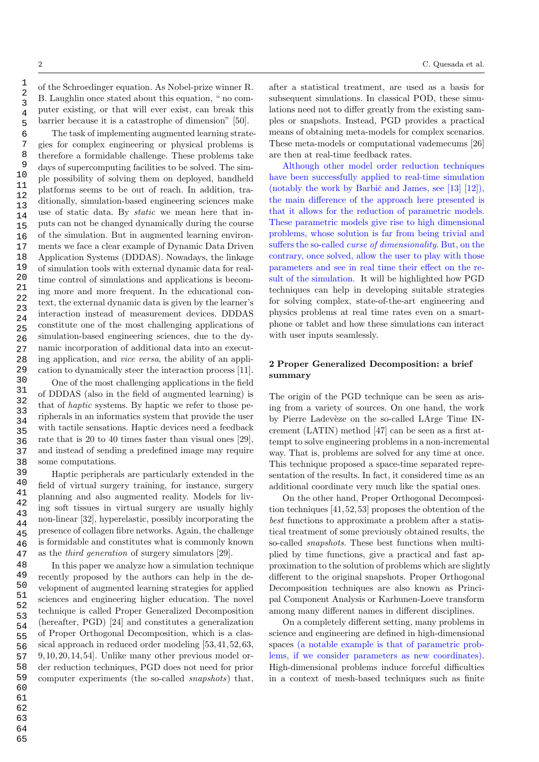of the Schroedinger equation. As Nobel-prize winner R. B. Laughlin once stated about this equation, " no computer existing, or that will ever exist, can break this barrier because it is a catastrophe of dimension" [50].

The task of implementing augmented learning strategies for complex engineering or physical problems is therefore a formidable challenge. These problems take days of supercomputing facilities to be solved. The simple possibility of solving them on deployed, handheld platforms seems to be out of reach. In addition, traditionally, simulation-based engineering sciences make use of static data. By static we mean here that inputs can not be changed dynamically during the course of the simulation. But in augmented learning environments we face a clear example of Dynamic Data Driven Application Systems (DDDAS). Nowadays, the linkage of simulation tools with external dynamic data for realtime control of simulations and applications is becoming more and more frequent. In the educational context, the external dynamic data is given by the learner's interaction instead of measurement devices. DDDAS constitute one of the most challenging applications of simulation-based engineering sciences, due to the dynamic incorporation of additional data into an executing application, and vice versa, the ability of an application to dynamically steer the interaction process [11].

One of the most challenging applications in the field of DDDAS (also in the field of augmented learning) is that of haptic systems. By haptic we refer to those peripherals in an informatics system that provide the user with tactile sensations. Haptic devices need a feedback rate that is 20 to 40 times faster than visual ones [29], and instead of sending a predefined image may require some computations.

Haptic peripherals are particularly extended in the field of virtual surgery training, for instance, surgery planning and also augmented reality. Models for living soft tissues in virtual surgery are usually highly non-linear [32], hyperelastic, possibly incorporating the presence of collagen fibre networks. Again, the challenge is formidable and constitutes what is commonly known as the third generation of surgery simulators [29].

In this paper we analyze how a simulation technique recently proposed by the authors can help in the development of augmented learning strategies for applied sciences and engineering higher education. The novel technique is called Proper Generalized Decomposition (hereafter, PGD) [24] and constitutes a generalization of Proper Orthogonal Decomposition, which is a classical approach in reduced order modeling [53,41, 52,63, 9, 10,20, 14,54]. Unlike many other previous model order reduction techniques, PGD does not need for prior computer experiments (the so-called snapshots) that,

after a statistical treatment, are used as a basis for subsequent simulations. In classical POD, these simulations need not to differ greatly from the existing samples or snapshots. Instead, PGD provides a practical means of obtaining meta-models for complex scenarios. These meta-models or computational vademecums [26] are then at real-time feedback rates.

Although other model order reduction techniques have been successfully applied to real-time simulation (notably the work by Barbič and James, see  $[13]$   $[12]$ ), the main difference of the approach here presented is that it allows for the reduction of parametric models. These parametric models give rise to high dimensional problems, whose solution is far from being trivial and suffers the so-called curse of dimensionality. But, on the contrary, once solved, allow the user to play with those parameters and see in real time their effect on the result of the simulation. It will be highlighted how PGD techniques can help in developing suitable strategies for solving complex, state-of-the-art engineering and physics problems at real time rates even on a smartphone or tablet and how these simulations can interact with user inputs seamlessly.

# 2 Proper Generalized Decomposition: a brief summary

The origin of the PGD technique can be seen as arising from a variety of sources. On one hand, the work by Pierre Ladevèze on the so-called LArge Time INcrement (LATIN) method [47] can be seen as a first attempt to solve engineering problems in a non-incremental way. That is, problems are solved for any time at once. This technique proposed a space-time separated representation of the results. In fact, it considered time as an additional coordinate very much like the spatial ones.

On the other hand, Proper Orthogonal Decomposition techniques [41, 52, 53] proposes the obtention of the best functions to approximate a problem after a statistical treatment of some previously obtained results, the so-called *snapshots*. These best functions when multiplied by time functions, give a practical and fast approximation to the solution of problems which are slightly different to the original snapshots. Proper Orthogonal Decomposition techniques are also known as Principal Component Analysis or Karhunen-Loeve transform among many different names in different disciplines.

On a completely different setting, many problems in science and engineering are defined in high-dimensional spaces (a notable example is that of parametric problems, if we consider parameters as new coordinates). High-dimensional problems induce forceful difficulties in a context of mesh-based techniques such as finite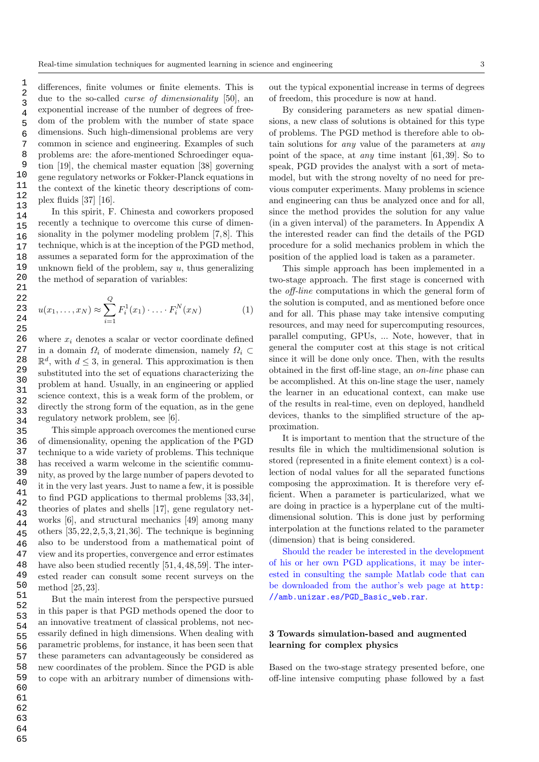differences, finite volumes or finite elements. This is due to the so-called curse of dimensionality [50], an exponential increase of the number of degrees of freedom of the problem with the number of state space dimensions. Such high-dimensional problems are very common in science and engineering. Examples of such problems are: the afore-mentioned Schroedinger equation [19], the chemical master equation [38] governing gene regulatory networks or Fokker-Planck equations in the context of the kinetic theory descriptions of complex fluids [37] [16].

In this spirit, F. Chinesta and coworkers proposed recently a technique to overcome this curse of dimensionality in the polymer modeling problem [7,8]. This technique, which is at the inception of the PGD method, assumes a separated form for the approximation of the unknown field of the problem, say  $u$ , thus generalizing the method of separation of variables:

$$
u(x_1, ..., x_N) \approx \sum_{i=1}^{Q} F_i^1(x_1) \cdot ... \cdot F_i^N(x_N)
$$
 (1)

where  $x_i$  denotes a scalar or vector coordinate defined in a domain  $\Omega_i$  of moderate dimension, namely  $\Omega_i \subset$  $\mathbb{R}^d$ , with  $d \leq 3$ , in general. This approximation is then substituted into the set of equations characterizing the problem at hand. Usually, in an engineering or applied science context, this is a weak form of the problem, or directly the strong form of the equation, as in the gene regulatory network problem, see [6].

This simple approach overcomes the mentioned curse of dimensionality, opening the application of the PGD technique to a wide variety of problems. This technique has received a warm welcome in the scientific community, as proved by the large number of papers devoted to it in the very last years. Just to name a few, it is possible to find PGD applications to thermal problems [33,34], theories of plates and shells [17], gene regulatory networks [6], and structural mechanics [49] among many others  $[35, 22, 2, 5, 3, 21, 36]$ . The technique is beginning also to be understood from a mathematical point of view and its properties, convergence and error estimates have also been studied recently [51, 4, 48, 59]. The interested reader can consult some recent surveys on the method [25, 23].

But the main interest from the perspective pursued in this paper is that PGD methods opened the door to an innovative treatment of classical problems, not necessarily defined in high dimensions. When dealing with parametric problems, for instance, it has been seen that these parameters can advantageously be considered as new coordinates of the problem. Since the PGD is able to cope with an arbitrary number of dimensions without the typical exponential increase in terms of degrees of freedom, this procedure is now at hand.

By considering parameters as new spatial dimensions, a new class of solutions is obtained for this type of problems. The PGD method is therefore able to obtain solutions for any value of the parameters at any point of the space, at any time instant [61,39]. So to speak, PGD provides the analyst with a sort of metamodel, but with the strong novelty of no need for previous computer experiments. Many problems in science and engineering can thus be analyzed once and for all, since the method provides the solution for any value (in a given interval) of the parameters. In Appendix A the interested reader can find the details of the PGD procedure for a solid mechanics problem in which the position of the applied load is taken as a parameter.

This simple approach has been implemented in a two-stage approach. The first stage is concerned with the off-line computations in which the general form of the solution is computed, and as mentioned before once and for all. This phase may take intensive computing resources, and may need for supercomputing resources, parallel computing, GPUs, ... Note, however, that in general the computer cost at this stage is not critical since it will be done only once. Then, with the results obtained in the first off-line stage, an on-line phase can be accomplished. At this on-line stage the user, namely the learner in an educational context, can make use of the results in real-time, even on deployed, handheld devices, thanks to the simplified structure of the approximation.

It is important to mention that the structure of the results file in which the multidimensional solution is stored (represented in a finite element context) is a collection of nodal values for all the separated functions composing the approximation. It is therefore very efficient. When a parameter is particularized, what we are doing in practice is a hyperplane cut of the multidimensional solution. This is done just by performing interpolation at the functions related to the parameter (dimension) that is being considered.

Should the reader be interested in the development of his or her own PGD applications, it may be interested in consulting the sample Matlab code that can be downloaded from the author's web page at http: //amb.unizar.es/PGD\_Basic\_web.rar.

# 3 Towards simulation-based and augmented learning for complex physics

Based on the two-stage strategy presented before, one off-line intensive computing phase followed by a fast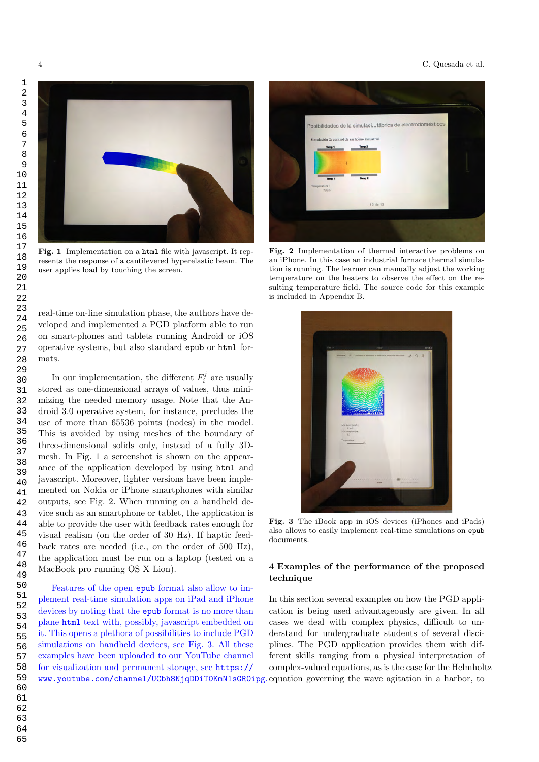



Fig. 1 Implementation on a html file with javascript. It represents the response of a cantilevered hyperelastic beam. The user applies load by touching the screen.

real-time on-line simulation phase, the authors have developed and implemented a PGD platform able to run on smart-phones and tablets running Android or iOS operative systems, but also standard epub or html formats.

In our implementation, the different  $F_i^j$  are usually stored as one-dimensional arrays of values, thus minimizing the needed memory usage. Note that the Android 3.0 operative system, for instance, precludes the use of more than 65536 points (nodes) in the model. This is avoided by using meshes of the boundary of three-dimensional solids only, instead of a fully 3Dmesh. In Fig. 1 a screenshot is shown on the appearance of the application developed by using html and javascript. Moreover, lighter versions have been implemented on Nokia or iPhone smartphones with similar outputs, see Fig. 2. When running on a handheld device such as an smartphone or tablet, the application is able to provide the user with feedback rates enough for visual realism (on the order of 30 Hz). If haptic feedback rates are needed (i.e., on the order of 500 Hz), the application must be run on a laptop (tested on a MacBook pro running OS X Lion).

Features of the open epub format also allow to implement real-time simulation apps on iPad and iPhone devices by noting that the epub format is no more than plane html text with, possibly, javascript embedded on it. This opens a plethora of possibilities to include PGD simulations on handheld devices, see Fig. 3. All these examples have been uploaded to our YouTube channel for visualization and permanent storage, see https:// www.youtube.com/channel/UCbh8NjqDDiT0KmN1sGR0ipg. equation governing the wave agitation in a harbor, to



Fig. 2 Implementation of thermal interactive problems on an iPhone. In this case an industrial furnace thermal simulation is running. The learner can manually adjust the working temperature on the heaters to observe the effect on the resulting temperature field. The source code for this example is included in Appendix B.



Fig. 3 The iBook app in iOS devices (iPhones and iPads) also allows to easily implement real-time simulations on epub documents.

# 4 Examples of the performance of the proposed technique

In this section several examples on how the PGD application is being used advantageously are given. In all cases we deal with complex physics, difficult to understand for undergraduate students of several disciplines. The PGD application provides them with different skills ranging from a physical interpretation of complex-valued equations, as is the case for the Helmholtz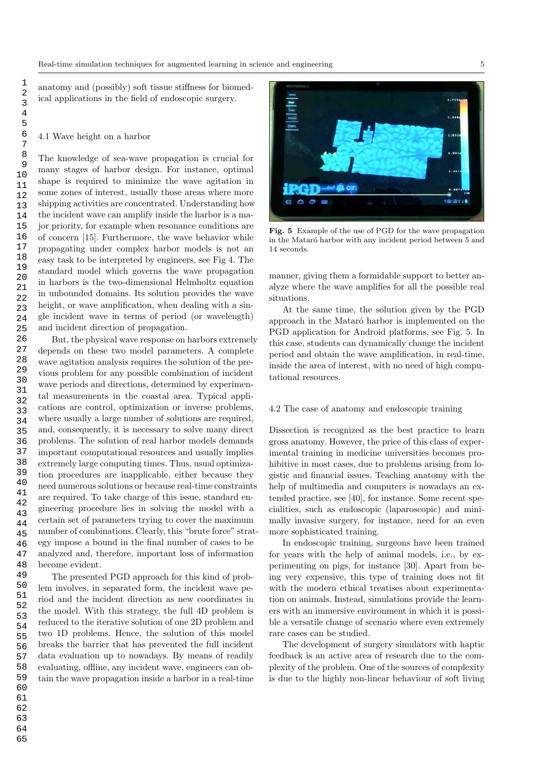anatomy and (possibly) soft tissue stiffness for biomedical applications in the field of endoscopic surgery.

#### 4.1 Wave height on a harbor

The knowledge of sea-wave propagation is crucial for many stages of harbor design. For instance, optimal shape is required to minimize the wave agitation in some zones of interest, usually those areas where more shipping activities are concentrated. Understanding how the incident wave can amplify inside the harbor is a major priority, for example when resonance conditions are of concern [15]. Furthermore, the wave behavior while propagating under complex harbor models is not an easy task to be interpreted by engineers, see Fig 4. The standard model which governs the wave propagation in harbors is the two-dimensional Helmholtz equation in unbounded domains. Its solution provides the wave height, or wave amplification, when dealing with a single incident wave in terms of period (or wavelength) and incident direction of propagation.

But, the physical wave response on harbors extremely depends on these two model parameters. A complete wave agitation analysis requires the solution of the previous problem for any possible combination of incident wave periods and directions, determined by experimental measurements in the coastal area. Typical applications are control, optimization or inverse problems, where usually a large number of solutions are required, and, consequently, it is necessary to solve many direct problems. The solution of real harbor models demands important computational resources and usually implies extremely large computing times. Thus, usual optimization procedures are inapplicable, either because they need numerous solutions or because real-time constraints are required. To take charge of this issue, standard engineering procedure lies in solving the model with a certain set of parameters trying to cover the maximum number of combinations. Clearly, this "brute force" strategy impose a bound in the final number of cases to be analyzed and, therefore, important loss of information become evident.

The presented PGD approach for this kind of problem involves, in separated form, the incident wave period and the incident direction as new coordinates in the model. With this strategy, the full 4D problem is reduced to the iterative solution of one 2D problem and two 1D problems. Hence, the solution of this model breaks the barrier that has prevented the full incident data evaluation up to nowadays. By means of readily evaluating, offline, any incident wave, engineers can obtain the wave propagation inside a harbor in a real-time



Fig. 5 Example of the use of PGD for the wave propagation in the Mataró harbor with any incident period between 5 and 14 seconds.

manner, giving them a formidable support to better analyze where the wave amplifies for all the possible real situations.

At the same time, the solution given by the PGD approach in the Mataró harbor is implemented on the PGD application for Android platforms, see Fig. 5. In this case, students can dynamically change the incident period and obtain the wave amplification, in real-time, inside the area of interest, with no need of high computational resources.

#### 4.2 The case of anatomy and endoscopic training

Dissection is recognized as the best practice to learn gross anatomy. However, the price of this class of experimental training in medicine universities becomes prohibitive in most cases, due to problems arising from logistic and financial issues. Teaching anatomy with the help of multimedia and computers is nowadays an extended practice, see [40], for instance. Some recent specialities, such as endoscopic (laparoscopic) and minimally invasive surgery, for instance, need for an even more sophisticated training.

In endoscopic training, surgeons have been trained for years with the help of animal models, i.e., by experimenting on pigs, for instance [30]. Apart from being very expensive, this type of training does not fit with the modern ethical treatises about experimentation on animals. Instead, simulations provide the learners with an immersive environment in which it is possible a versatile change of scenario where even extremely rare cases can be studied.

The development of surgery simulators with haptic feedback is an active area of research due to the complexity of the problem. One of the sources of complexity is due to the highly non-linear behaviour of soft living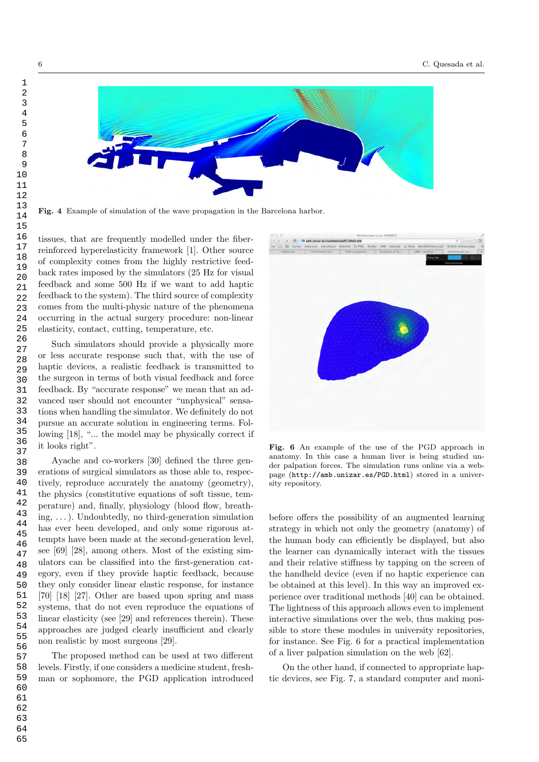

Fig. 4 Example of simulation of the wave propagation in the Barcelona harbor.

tissues, that are frequently modelled under the fiberreinforced hyperelasticity framework [1]. Other source of complexity comes from the highly restrictive feedback rates imposed by the simulators (25 Hz for visual feedback and some 500 Hz if we want to add haptic feedback to the system). The third source of complexity comes from the multi-physic nature of the phenomena occurring in the actual surgery procedure: non-linear elasticity, contact, cutting, temperature, etc.

Such simulators should provide a physically more or less accurate response such that, with the use of haptic devices, a realistic feedback is transmitted to the surgeon in terms of both visual feedback and force feedback. By "accurate response" we mean that an advanced user should not encounter "unphysical" sensations when handling the simulator. We definitely do not pursue an accurate solution in engineering terms. Following [18], "... the model may be physically correct if it looks right".

Ayache and co-workers [30] defined the three generations of surgical simulators as those able to, respectively, reproduce accurately the anatomy (geometry), the physics (constitutive equations of soft tissue, temperature) and, finally, physiology (blood flow, breathing,  $\dots$ ). Undoubtedly, no third-generation simulation has ever been developed, and only some rigorous attempts have been made at the second-generation level, see [69] [28], among others. Most of the existing simulators can be classified into the first-generation category, even if they provide haptic feedback, because they only consider linear elastic response, for instance [70] [18] [27]. Other are based upon spring and mass systems, that do not even reproduce the equations of linear elasticity (see [29] and references therein). These approaches are judged clearly insufficient and clearly non realistic by most surgeons [29].

The proposed method can be used at two different levels. Firstly, if one considers a medicine student, freshman or sophomore, the PGD application introduced



Fig. 6 An example of the use of the PGD approach in anatomy. In this case a human liver is being studied under palpation forces. The simulation runs online via a webpage (http://amb.unizar.es/PGD.html) stored in a university repository.

before offers the possibility of an augmented learning strategy in which not only the geometry (anatomy) of the human body can efficiently be displayed, but also the learner can dynamically interact with the tissues and their relative stiffness by tapping on the screen of the handheld device (even if no haptic experience can be obtained at this level). In this way an improved experience over traditional methods [40] can be obtained. The lightness of this approach allows even to implement interactive simulations over the web, thus making possible to store these modules in university repositories, for instance. See Fig. 6 for a practical implementation of a liver palpation simulation on the web [62].

On the other hand, if connected to appropriate haptic devices, see Fig. 7, a standard computer and moni-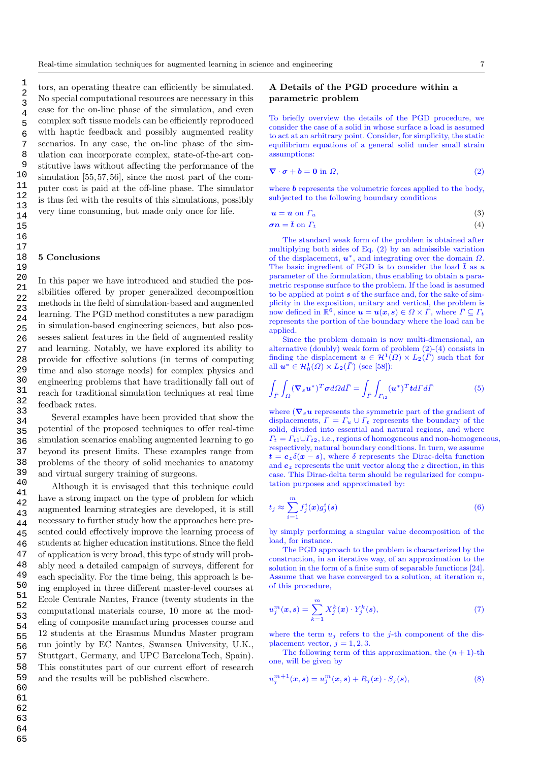tors, an operating theatre can efficiently be simulated. No special computational resources are necessary in this case for the on-line phase of the simulation, and even complex soft tissue models can be efficiently reproduced with haptic feedback and possibly augmented reality scenarios. In any case, the on-line phase of the simulation can incorporate complex, state-of-the-art constitutive laws without affecting the performance of the simulation [55, 57, 56], since the most part of the computer cost is paid at the off-line phase. The simulator is thus fed with the results of this simulations, possibly very time consuming, but made only once for life.

#### 5 Conclusions

In this paper we have introduced and studied the possibilities offered by proper generalized decomposition methods in the field of simulation-based and augmented learning. The PGD method constitutes a new paradigm in simulation-based engineering sciences, but also possesses salient features in the field of augmented reality and learning. Notably, we have explored its ability to provide for effective solutions (in terms of computing time and also storage needs) for complex physics and engineering problems that have traditionally fall out of reach for traditional simulation techniques at real time feedback rates.

Several examples have been provided that show the potential of the proposed techniques to offer real-time simulation scenarios enabling augmented learning to go beyond its present limits. These examples range from problems of the theory of solid mechanics to anatomy and virtual surgery training of surgeons.

Although it is envisaged that this technique could have a strong impact on the type of problem for which augmented learning strategies are developed, it is still necessary to further study how the approaches here presented could effectively improve the learning process of students at higher education institutions. Since the field of application is very broad, this type of study will probably need a detailed campaign of surveys, different for each speciality. For the time being, this approach is being employed in three different master-level courses at Ecole Centrale Nantes, France (twenty students in the computational materials course, 10 more at the modeling of composite manufacturing processes course and 12 students at the Erasmus Mundus Master program run jointly by EC Nantes, Swansea University, U.K., Stuttgart, Germany, and UPC BarcelonaTech, Spain). This constitutes part of our current effort of research and the results will be published elsewhere.

### A Details of the PGD procedure within a parametric problem

To briefly overview the details of the PGD procedure, we consider the case of a solid in whose surface a load is assumed to act at an arbitrary point. Consider, for simplicity, the static equilibrium equations of a general solid under small strain assumptions:

$$
\nabla \cdot \boldsymbol{\sigma} + \boldsymbol{b} = \mathbf{0} \text{ in } \Omega,
$$
\n<sup>(2)</sup>

where  **represents the volumetric forces applied to the body,** subjected to the following boundary conditions

$$
u = \bar{u} \text{ on } \Gamma_u \tag{3}
$$

$$
\sigma n = \bar{t} \text{ on } \Gamma_t \tag{4}
$$

The standard weak form of the problem is obtained after multiplying both sides of Eq. (2) by an admissible variation of the displacement,  $u^*$ , and integrating over the domain  $\Omega$ . The basic ingredient of PGD is to consider the load  $\bar{t}$  as a parameter of the formulation, thus enabling to obtain a parametric response surface to the problem. If the load is assumed to be applied at point  $s$  of the surface and, for the sake of simplicity in the exposition, unitary and vertical, the problem is now defined in  $\mathbb{R}^6$ , since  $u = u(x, s) \in \Omega \times \overline{\Gamma}$ , where  $\overline{\Gamma} \subseteq \Gamma_t$ represents the portion of the boundary where the load can be applied.

Since the problem domain is now multi-dimensional, an alternative (doubly) weak form of problem (2)-(4) consists in finding the displacement  $u \in H^1(\Omega) \times L_2(\overline{\Gamma})$  such that for all  $u^* \in H_0^1(\Omega) \times L_2(\overline{\Gamma})$  (see [58]):

$$
\int_{\bar{\Gamma}} \int_{\Omega} (\mathbf{\nabla}_{s} \boldsymbol{u}^{*})^{T} \boldsymbol{\sigma} d\Omega d\bar{\Gamma} = \int_{\bar{\Gamma}} \int_{\Gamma_{t2}} (\boldsymbol{u}^{*})^{T} \boldsymbol{t} d\Gamma d\bar{\Gamma}
$$
(5)

where ( $\nabla_s u$  represents the symmetric part of the gradient of displacements,  $\Gamma = \Gamma_u \cup \Gamma_t$  represents the boundary of the solid, divided into essential and natural regions, and where  $\Gamma_t = \Gamma_{t1} \cup \Gamma_{t2}$ , i.e., regions of homogeneous and non-homogeneous, respectively, natural boundary conditions. In turn, we assume  $t = e_z \delta(x - s)$ , where  $\delta$  represents the Dirac-delta function and  $e_z$  represents the unit vector along the z direction, in this case. This Dirac-delta term should be regularized for computation purposes and approximated by:

$$
t_j \approx \sum_{i=1}^m f_j^i(x) g_j^i(s) \tag{6}
$$

by simply performing a singular value decomposition of the load, for instance.

The PGD approach to the problem is characterized by the construction, in an iterative way, of an approximation to the solution in the form of a finite sum of separable functions [24]. Assume that we have converged to a solution, at iteration  $n$ , of this procedure,

$$
u_j^m(\boldsymbol{x}, \boldsymbol{s}) = \sum_{k=1}^m X_j^k(\boldsymbol{x}) \cdot Y_j^k(\boldsymbol{s}), \qquad (7)
$$

where the term  $u_i$  refers to the j-th component of the displacement vector,  $j = 1, 2, 3$ .

The following term of this approximation, the  $(n + 1)$ -th one, will be given by

$$
u_j^{m+1}(\pmb{x}, \pmb{s}) = u_j^m(\pmb{x}, \pmb{s}) + R_j(\pmb{x}) \cdot S_j(\pmb{s}), \tag{8}
$$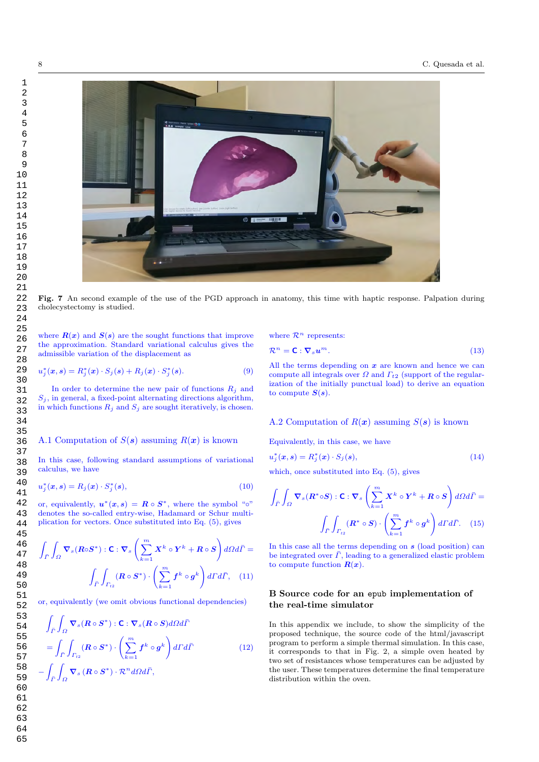

Fig. 7 An second example of the use of the PGD approach in anatomy, this time with haptic response. Palpation during cholecystectomy is studied.

where  $R(x)$  and  $S(s)$  are the sought functions that improve the approximation. Standard variational calculus gives the admissible variation of the displacement as

$$
u_j^*(\mathbf{x}, \mathbf{s}) = R_j^*(\mathbf{x}) \cdot S_j(\mathbf{s}) + R_j(\mathbf{x}) \cdot S_j^*(\mathbf{s}). \tag{9}
$$

In order to determine the new pair of functions  $R_i$  and  $S_j$ , in general, a fixed-point alternating directions algorithm, in which functions  $R_j$  and  $S_j$  are sought iteratively, is chosen.

# A.1 Computation of  $S(s)$  assuming  $R(x)$  is known

In this case, following standard assumptions of variational calculus, we have

$$
u_j^*(\boldsymbol{x}, \boldsymbol{s}) = R_j(\boldsymbol{x}) \cdot S_j^*(\boldsymbol{s}), \tag{10}
$$

or, equivalently,  $u^*(x, s) = R \circ S^*$ , where the symbol " $\circ$ " denotes the so-called entry-wise, Hadamard or Schur multiplication for vectors. Once substituted into Eq. (5), gives

$$
\int_{\bar{\Gamma}} \int_{\Omega} \mathbf{\nabla}_{s} (R \circ S^{*}) : \mathbf{C} : \mathbf{\nabla}_{s} \left( \sum_{k=1}^{m} X^{k} \circ Y^{k} + R \circ S \right) d\Omega d\bar{\Gamma} =
$$

$$
\int_{\bar{\Gamma}} \int_{\Gamma_{t2}} (\mathbf{R} \circ S^{*}) \cdot \left( \sum_{k=1}^{m} f^{k} \circ g^{k} \right) d\Gamma d\bar{\Gamma}, \quad (11)
$$

or, equivalently (we omit obvious functional dependencies)

$$
\int_{\overline{\Gamma}} \int_{\Omega} \mathbf{\nabla}_{s} (\mathbf{R} \circ \mathbf{S}^{*}) : \mathbf{C} : \mathbf{\nabla}_{s} (\mathbf{R} \circ \mathbf{S}) d\Omega d\overline{\Gamma}
$$
\n
$$
= \int_{\overline{\Gamma}} \int_{\Gamma_{t_2}} (\mathbf{R} \circ \mathbf{S}^{*}) \cdot \left( \sum_{k=1}^{m} f^{k} \circ g^{k} \right) d\Gamma d\overline{\Gamma}
$$
\n
$$
- \int_{\overline{\Gamma}} \int_{\Omega} \mathbf{\nabla}_{s} (\mathbf{R} \circ \mathbf{S}^{*}) \cdot \mathcal{R}^{n} d\Omega d\overline{\Gamma}, \qquad (12)
$$

where 
$$
\mathcal{R}^n
$$
 represents:

$$
\mathcal{R}^n = \mathbf{C} : \nabla_s \mathbf{u}^m. \tag{13}
$$

All the terms depending on  $x$  are known and hence we can compute all integrals over  $\Omega$  and  $\Gamma_{t2}$  (support of the regularization of the initially punctual load) to derive an equation to compute  $S(s)$ .

#### A.2 Computation of  $R(x)$  assuming  $S(s)$  is known

Equivalently, in this case, we have

$$
u_j^*(\boldsymbol{x}, \boldsymbol{s}) = R_j^*(\boldsymbol{x}) \cdot S_j(\boldsymbol{s}),\tag{14}
$$

which, once substituted into Eq. (5), gives

$$
\int_{\bar{\Gamma}} \int_{\Omega} \mathbf{\nabla}_{s} (\mathbf{R}^{*} \circ \mathbf{S}) : \mathbf{C} : \mathbf{\nabla}_{s} \left( \sum_{k=1}^{m} \mathbf{X}^{k} \circ \mathbf{Y}^{k} + \mathbf{R} \circ \mathbf{S} \right) d\Omega d\bar{\Gamma} =
$$
\n
$$
\int_{\bar{\Gamma}} \int_{\Gamma_{t2}} (\mathbf{R}^{*} \circ \mathbf{S}) \cdot \left( \sum_{k=1}^{m} \mathbf{f}^{k} \circ \mathbf{g}^{k} \right) d\Gamma d\bar{\Gamma}. \quad (15)
$$

In this case all the terms depending on  $s$  (load position) can be integrated over  $\bar{\Gamma}$ , leading to a generalized elastic problem to compute function  $R(x)$ .

#### B Source code for an epub implementation of the real-time simulator

In this appendix we include, to show the simplicity of the proposed technique, the source code of the html/javascript program to perform a simple thermal simulation. In this case, it corresponds to that in Fig. 2, a simple oven heated by two set of resistances whose temperatures can be adjusted by the user. These temperatures determine the final temperature distribution within the oven.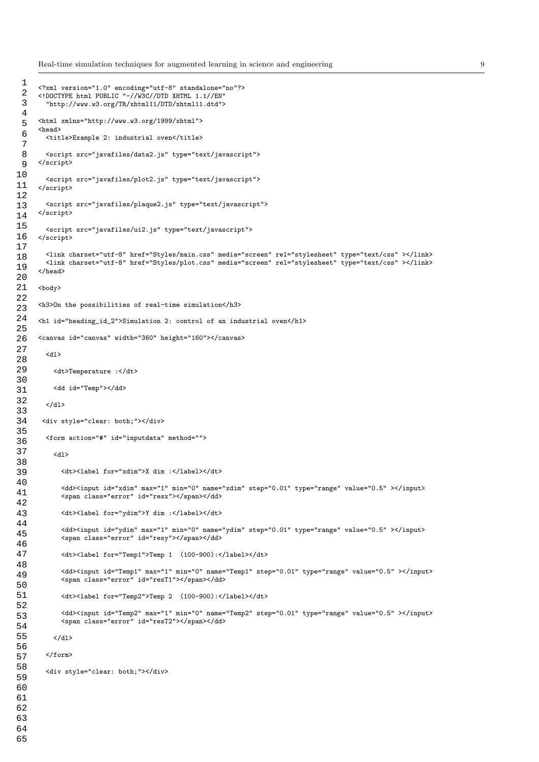Real-time simulation techniques for augmented learning in science and engineering 9

```
<?xml version="1.0" encoding="utf-8" standalone="no"?>
      <!DOCTYPE html PUBLIC "-//W3C//DTD XHTML 1.1//EN"
        "http://www.w3.org/TR/xhtml11/DTD/xhtml11.dtd">
      <html xmlns="http://www.w3.org/1999/xhtml">
      <head>
        <title>Example 2: industrial oven</title>
        <script src="javafiles/data2.js" type="text/javascript">
     </script>
        <script src="javafiles/plot2.js" type="text/javascript">
      </script>
        <script src="javafiles/plaque2.js" type="text/javascript">
     </script>
        <\!\! \texttt{script} \texttt{'}\!\! \texttt{src}^{\texttt{=''}}\texttt{javafiles}/\texttt{ui2}.\texttt{js}^{\texttt{''}} \texttt{ types}^{\texttt{=''}}\texttt{text/javascript} {\texttt{''}}\!\!></script>
        <link charset="utf-8" href="Styles/main.css" media="screen" rel="stylesheet" type="text/css" ></link>
        <link charset="utf-8" href="Styles/plot.css" media="screen" rel="stylesheet" type="text/css" ></link>
      </head>
      <body>
      <h3>On the possibilities of real-time simulation</h3>
      <h1 id="heading_id_2">Simulation 2: control of an industrial oven</h1>
      <canvas id="canvas" width="360" height="160"></canvas>
        <dl>
          <dt>Temperature :</dt>
          <dd id="Temp"></dd>
        \langle/dl>
       <div style="clear: both;"></div>
        <form action="#" id="inputdata" method="">
          <dl>
            <dt><label for="xdim">X dim :</label></dt>
            <dd><input id="xdim" max="1" min="0" name="xdim" step="0.01" type="range" value="0.5" ></input>
            <span class="error" id="resx"></span></dd>
            <dt><label for="ydim">Y dim :</label></dt>
             <dd><input id="ydim" max="1" min="0" name="ydim" step="0.01" type="range" value="0.5" ></input>
             <span class="error" id="resy"></span></dd>
            <dt><label for="Temp1">Temp 1 (100-900):</label></dt>
             <dd><input id="Temp1" max="1" min="0" name="Temp1" step="0.01" type="range" value="0.5" ></input>
            <span class="error" id="resT1"></span></dd>
            <dt><label for="Temp2">Temp 2 (100-900):</label></dt>
             <dd><input id="Temp2" max="1" min="0" name="Temp2" step="0.01" type="range" value="0.5" ></input>
            <span class="error" id="resT2"></span></dd>
          \langle/dl>
        </form>
        <div style="clear: both;"></div>
  1 
 \overline{2} 3 
  4 
  5 
  6 
  7 
  8 
  9 
10 
11 
12 
13 
14 
15 
16 
17 
18 
19 
20 
21 
22 
23 
24 
25 
26 
27 
28 
29 
30 
31 
32 
33 
34 
35 
36 
37 
38 
39 
40 
41 
42 
43 
44 
45 
46 
47 
48 
49 
50 
51 
52 
53 
54 
55 
56 
57 
58 
59 
60 
61 
62 
63 
64 
65
```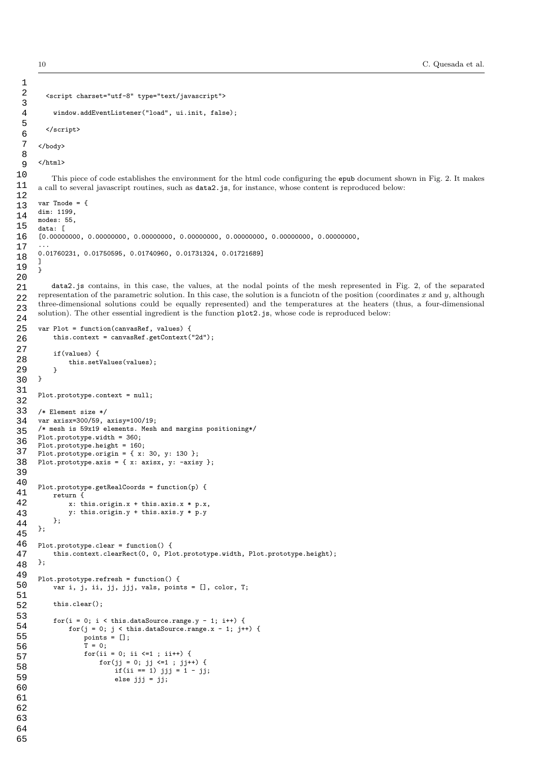```
<script charset="utf-8" type="text/javascript">
          window.addEventListener("load", ui.init, false);
        </script>
      </body>
      </html>
         This piece of code establishes the environment for the html code configuring the epub document shown in Fig. 2. It makes
      a call to several javascript routines, such as data2.js, for instance, whose content is reproduced below:
      var Tnode = {
      dim: 1199,
      modes: 55,
      data: [
      [0.00000000, 0.00000000, 0.00000000, 0.00000000, 0.00000000, 0.00000000, 0.00000000,
      ...
      0.01760231, 0.01750595, 0.01740960, 0.01731324, 0.01721689]
      ]
      }
         data2.js contains, in this case, the values, at the nodal points of the mesh represented in Fig. 2, of the separated
      representation of the parametric solution. In this case, the solution is a funciotn of the position (coordinates x and y, although
      three-dimensional solutions could be equally represented) and the temperatures at the heaters (thus, a four-dimensional
      solution). The other essential ingredient is the function plot2.js, whose code is reproduced below:
      var Plot = function(canvasRef, values) {
          this.context = canvasRef.getContext("2d");
          if(values) {
              this.setValues(values);
          }
     }
      Plot.prototype.context = null;
      /* Element size */
      var axisx=300/59, axisy=100/19;
      /* mesh is 59x19 elements. Mesh and margins positioning*/
      Plot.prototype.width = 360;
      Plot.prototype.height = 160;
      Plot.prototype.origin = \{ x: 30, y: 130 \};
     Plot.prototype.axis = {x: axis, y: -axis};
      Plot.prototype.getRealCoords = function(p) {
          return {
              x: this.origin.x + this.axis.x * p.x,
              y: this.origin.y + this.axis.y * p.y
          };
      };
     Plot.prototype.clear = function() {
          this.context.clearRect(0, 0, Plot.prototype.width, Plot.prototype.height);
      };
      Plot.prototype.refresh = function() {
          var i, j, ii, jj, jjj, vals, points = [], color, T;
          this.clear();
          for(i = 0; i < this.dataSource.range.y - 1; i++) {
              for(j = 0; j < this.dataSource.range.x - 1; j++) {
                  points = [];
                  T = 0:
                  for(i i = 0; ii \le 1; ii++) {
                      for(jj = 0; jj <=1 ; jj++) {
                           if(ii == 1) jjj = 1 - jj;else jjj = jj; 2 
  3 
  4 
  5 
  6 
  7 
  8 
  9 
10 
11 
12 
13 
14 
15 
16 
17 
18 
19 
20 
21 
22 
23 
24 
25 
26 
27 
28 
29 
30 
31 
32 
33 
34 
35 
36 
37 
38 
39 
40 
41 
42 
43 
44 
45 
46 
47 
48 
49 
50 
51 
52 
53 
54 
55 
56 
57 
58 
59 
60 
61 
62 
63 
64
```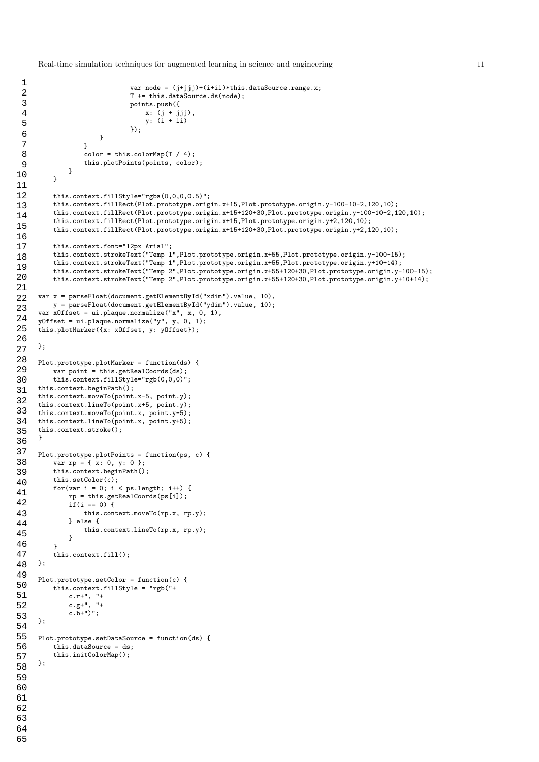Real-time simulation techniques for augmented learning in science and engineering 11

```
var node = (j+jjj)+(i+ii)*this.dataSource.range.x;
                              T += this.dataSource.ds(node);
                              points.push({
                                  x: (j + jjj),
                                  y: (i + ii)
                              });
                      }
                  }
                  color = this.colorMap(T / 4);this.plotPoints(points, color);
              }
         }
         this.context.fillStyle="rgba(0,0,0,0.5)";
          this.context.fillRect(Plot.prototype.origin.x+15,Plot.prototype.origin.y-100-10-2,120,10);
          this.context.fillRect(Plot.prototype.origin.x+15+120+30,Plot.prototype.origin.y-100-10-2,120,10);
          this.context.fillRect(Plot.prototype.origin.x+15,Plot.prototype.origin.y+2,120,10);
         this.context.fillRect(Plot.prototype.origin.x+15+120+30,Plot.prototype.origin.y+2,120,10);
         this.context.font="12px Arial";
         this.context.strokeText("Temp 1",Plot.prototype.origin.x+55,Plot.prototype.origin.y-100-15);
         this.context.strokeText("Temp 1",Plot.prototype.origin.x+55,Plot.prototype.origin.y+10+14);
          this.context.strokeText("Temp 2",Plot.prototype.origin.x+55+120+30,Plot.prototype.origin.y-100-15);
         this.context.strokeText("Temp 2",Plot.prototype.origin.x+55+120+30,Plot.prototype.origin.y+10+14);
     var x = parseFloat(document.getElementById("xdim").value, 10),
         y = parseFloat(document.getElementById("ydim").value, 10);
     var xOffset = ui.plaque.normalize("x", x, 0, 1),
     yOffset = ui.plaque.normalize("y", y, 0, 1);
     this.plotMarker({x: xOffset, y: yOffset});
     };
     Plot.prototype.plotMarker = function(ds) {
          var point = this.getRealCoords(ds);
         this.context.fillStyle="rgb(0,0,0)";
     this.context.beginPath();
     this.context.moveTo(point.x-5, point.y);
     this.context.lineTo(point.x+5, point.y);
     this.context.moveTo(point.x, point.y-5);
     this.context.lineTo(point.x, point.y+5);
     this.context.stroke();
     }
     Plot.prototype.plotPoints = function(ps, c) {
         var rp = { x: 0, y: 0 };
         this.context.beginPath();
         this.setColor(c);
         for(var i = 0; i < ps.length; i++) {
              rp = this.getRealCoords(ps[i]);
              if(i == 0) {
                  this.context.moveTo(rp.x, rp.y);
              } else {
                  this.context.lineTo(rp.x, rp.y);
              }
         }
          this.context.fill();
     };
     Plot.prototype.setColor = function(c) {
          this.context.fillStyle = "rgb("+
              c.r+", "+
              c.g+", "+
              c.b+")";
     };
     Plot.prototype.setDataSource = function(ds) {
          this.dataSource = ds;
          this.initColorMap();
     \cdot 1 
  2 
  3 
  4 
  5 
  6 
  7 
  8 
  9 
10 
11 
12 
13 
14 
15 
16 
17 
18 
19 
20 
21 
22 
23 
24 
25 
26 
27 
28 
29 
30 
31 
32 
33 
34 
35 
36 
37 
38 
39 
40 
41 
42 
43 
44 
45 
46 
47 
48 
49 
50 
51 
52 
53 
54 
55 
56 
57 
58 
59 
60 
61 
62 
63 
64
```

```
65
```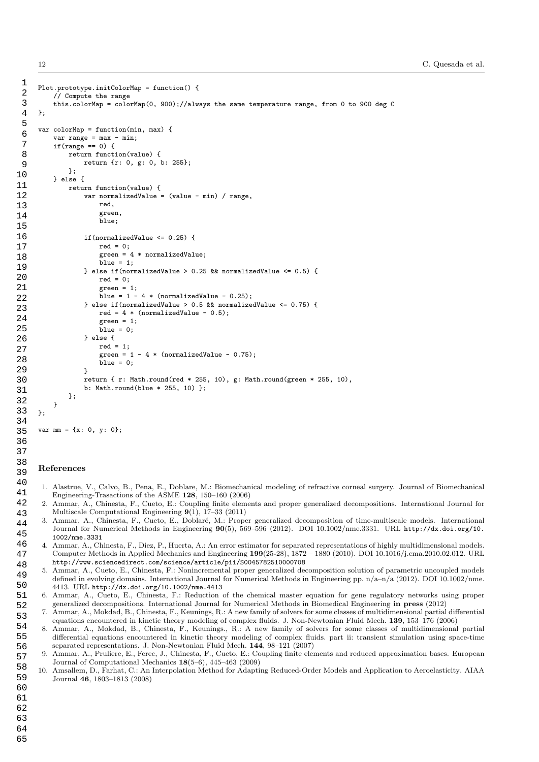12 C. Quesada et al.

```
Plot.prototype.initColorMap = function() {
          // Compute the range
          this.colorMap = colorMap(0, 900);//always the same temperature range, from 0 to 900 deg C
      };
      var colorMap = function(min, max) {
          var range = max - min;
          if(range == 0) {
              return function(value) {
                  return {r: 0, g: 0, b: 255};
              };
          } else {
              return function(value) {
                  var normalizedValue = (value - min) / range.
                       red,
                       green,
                       blue;
                   if(normalizedValue <= 0.25) {
                       red = 0;<br>green = 4* normalizedValue;
                       blue = 1;} else if(normalizedValue > 0.25 && normalizedValue <= 0.5) {
                       red = 0:
                       green = 1;
                       blue = 1 - 4 * (normalizedValue - 0.25);
                  } else if(normalizedValue > 0.5 && normalizedValue <= 0.75) {
                       red = 4 * (normalizedValue - 0.5);
                       green = 1;
                       blue = 0;
                   } else {
                       red = 1:
                       green = 1 - 4 * (normalizedValue - 0.75);
                       blue = 0:
                   }
                  return { r: Math.round(red * 255, 10), g: Math.round(green * 255, 10),
                   b: Math.round(blue * 255, 10) };
              };
          }
      };
  1 
  2 
  3 
  4 
  5 
  6 
  7 
  8 
  9 
10 
11 
12 
13 
14 
15 
16 
17 
18 
19 
20 
21 
22 
23 
24 
25 
26 
27 
28 
29 
30 
31 
32 
33 
34
```

```
var mm = {x: 0, y: 0};
```
#### References

43

- 1. Alastrue, V., Calvo, B., Pena, E., Doblare, M.: Biomechanical modeling of refractive corneal surgery. Journal of Biomechanical Engineering-Trasactions of the ASME 128, 150–160 (2006)
- 2. Ammar, A., Chinesta, F., Cueto, E.: Coupling finite elements and proper generalized decompositions. International Journal for Multiscale Computational Engineering 9(1), 17–33 (2011) 42
- 3. Ammar, A., Chinesta, F., Cueto, E., Doblaré, M.: Proper generalized decomposition of time-multiscale models. International Journal for Numerical Methods in Engineering 90(5), 569–596 (2012). DOI 10.1002/nme.3331. URL http://dx.doi.org/10. 1002/nme.3331 44 45 46
- 4. Ammar, A., Chinesta, F., Diez, P., Huerta, A.: An error estimator for separated representations of highly multidimensional models. Computer Methods in Applied Mechanics and Engineering 199(25-28), 1872 – 1880 (2010). DOI 10.1016/j.cma.2010.02.012. URL http://www.sciencedirect.com/science/article/pii/S0045782510000708 47 48
	- 5. Ammar, A., Cueto, E., Chinesta, F.: Nonincremental proper generalized decomposition solution of parametric uncoupled models defined in evolving domains. International Journal for Numerical Methods in Engineering pp. n/a–n/a (2012). DOI 10.1002/nme. 4413. URL http://dx.doi.org/10.1002/nme.4413
	- 6. Ammar, A., Cueto, E., Chinesta, F.: Reduction of the chemical master equation for gene regulatory networks using proper generalized decompositions. International Journal for Numerical Methods in Biomedical Engineering in press (2012)
	- 7. Ammar, A., Mokdad, B., Chinesta, F., Keunings, R.: A new family of solvers for some classes of multidimensional partial differential equations encountered in kinetic theory modeling of complex fluids. J. Non-Newtonian Fluid Mech. 139, 153–176 (2006)
- 8. Ammar, A., Mokdad, B., Chinesta, F., Keunings., R.: A new family of solvers for some classes of multidimensional partial differential equations encountered in kinetic theory modeling of complex fluids. part ii: transient simulation using space-time separated representations. J. Non-Newtonian Fluid Mech.  $144$ , 98-121 (2007) 54 55 56
- 9. Ammar, A., Pruliere, E., Ferec, J., Chinesta, F., Cueto, E.: Coupling finite elements and reduced approximation bases. European Journal of Computational Mechanics 18(5–6), 445–463 (2009) 57
- 10. Amsallem, D., Farhat, C.: An Interpolation Method for Adapting Reduced-Order Models and Application to Aeroelasticity. AIAA Journal 46, 1803–1813 (2008) 58 59

62 63 64

60 61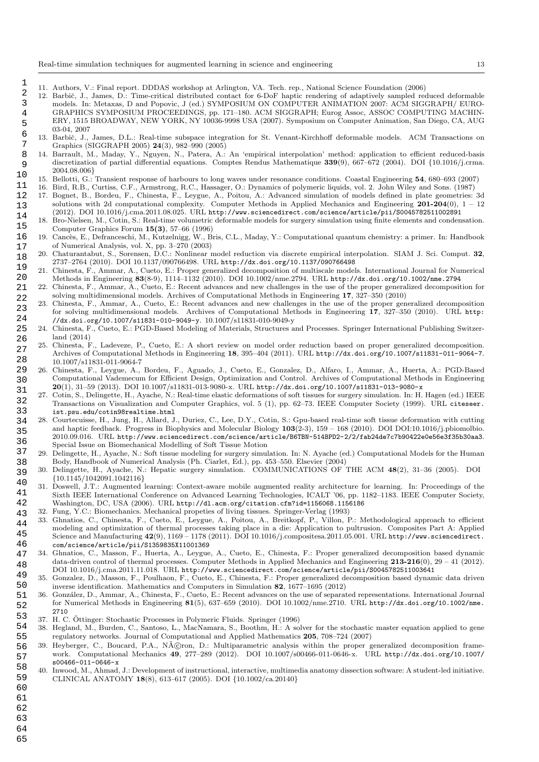- 11. Authors, V.: Final report. DDDAS workshop at Arlington, VA. Tech. rep., National Science Foundation (2006)
- 12. Barbič, J., James, D.: Time-critical distributed contact for 6-DoF haptic rendering of adaptively sampled reduced deformable models. In: Metaxas, D and Popovic, J (ed.) SYMPOSIUM ON COMPUTER ANIMATION 2007: ACM SIGGRAPH/ EURO-GRAPHICS SYMPOSIUM PROCEEDINGS, pp. 171–180. ACM SIGGRAPH; Eurog Assoc, ASSOC COMPUTING MACHIN-ERY, 1515 BROADWAY, NEW YORK, NY 10036-9998 USA (2007). Symposium on Computer Animation, San Diego, CA, AUG 03-04, 2007 2 3 4 5 6
- 13. Barbič, J., James, D.L.: Real-time subspace integration for St. Venant-Kirchhoff deformable models. ACM Transactions on Graphics (SIGGRAPH 2005) 24(3), 982–990 (2005) 7
- 14. Barrault, M., Maday, Y., Nguyen, N., Patera, A.: An 'empirical interpolation' method: application to efficient reduced-basis discretization of partial differential equations. Comptes Rendus Mathematique 339(9), 667–672 (2004). DOI {10.1016/j.crma. 2004.08.006} 8 9 10
	- 15. Bellotti, G.: Transient response of harbours to long waves under resonance conditions. Coastal Engineering 54, 680–693 (2007)
- 16. Bird, R.B., Curtiss, C.F., Armstrong, R.C., Hassager, O.: Dynamics of polymeric liquids, vol. 2. John Wiley and Sons. (1987) 11
- 17. Bognet, B., Bordeu, F., Chinesta, F., Leygue, A., Poitou, A.: Advanced simulation of models defined in plate geometries: 3d solutions with 2d computational complexity. Computer Methods in Applied Mechanics and Engineering  $201-204(0)$ ,  $1-12$ (2012). DOI 10.1016/j.cma.2011.08.025. URL http://www.sciencedirect.com/science/article/pii/S0045782511002891 12 13 14
- 18. Bro-Nielsen, M., Cotin, S.: Real-time volumetric deformable models for surgery simulation using finite elements and condensation. Computer Graphics Forum 15(3), 57–66 (1996) 15
- 19. Cancès, E., Defranceschi, M., Kutzelnigg, W., Bris, C.L., Maday, Y.: Computational quantum chemistry: a primer. In: Handbook of Numerical Analysis, vol. X, pp. 3–270 (2003) 16 17
- 20. Chaturantabut, S., Sorensen, D.C.: Nonlinear model reduction via discrete empirical interpolation. SIAM J. Sci. Comput. 32, 2737–2764 (2010). DOI 10.1137/090766498. URL http://dx.doi.org/10.1137/090766498 18 19
- 21. Chinesta, F., Ammar, A., Cueto, E.: Proper generalized decomposition of multiscale models. International Journal for Numerical Methods in Engineering 83(8-9), 1114–1132 (2010). DOI 10.1002/nme.2794. URL http://dx.doi.org/10.1002/nme.2794 20
- 22. Chinesta, F., Ammar, A., Cueto, E.: Recent advances and new challenges in the use of the proper generalized decomposition for solving multidimensional models. Archives of Computational Methods in Engineering 17, 327–350 (2010) 21 22
- 23. Chinesta, F., Ammar, A., Cueto, E.: Recent advances and new challenges in the use of the proper generalized decomposition for solving multidimensional models. Archives of Computational Methods in Engineering 17, 327–350 (2010). URL http: //dx.doi.org/10.1007/s11831-010-9049-y. 10.1007/s11831-010-9049-y 23 24
- 24. Chinesta, F., Cueto, E.: PGD-Based Modeling of Materials, Structures and Processes. Springer International Publishing Switzerland (2014) 25 26
- 25. Chinesta, F., Ladeveze, P., Cueto, E.: A short review on model order reduction based on proper generalized decomposition. Archives of Computational Methods in Engineering 18, 395–404 (2011). URL http://dx.doi.org/10.1007/s11831-011-9064-7. 10.1007/s11831-011-9064-7 27 28
- 26. Chinesta, F., Leygue, A., Bordeu, F., Aguado, J., Cueto, E., Gonzalez, D., Alfaro, I., Ammar, A., Huerta, A.: PGD-Based Computational Vademecum for Efficient Design, Optimization and Control. Archives of Computational Methods in Engineering 20(1), 31–59 (2013). DOI 10.1007/s11831-013-9080-x. URL http://dx.doi.org/10.1007/s11831-013-9080-x 29 30 31
- 27. Cotin, S., Delingette, H., Ayache, N.: Real-time elastic deformations of soft tissues for surgery simulation. In: H. Hagen (ed.) IEEE Transactions on Visualization and Computer Graphics, vol. 5 (1), pp. 62–73. IEEE Computer Society (1999). URL citeseer. ist.psu.edu/cotin98realtime.html 32 33
- 28. Courtecuisse, H., Jung, H., Allard, J., Duriez, C., Lee, D.Y., Cotin, S.: Gpu-based real-time soft tissue deformation with cutting and haptic feedback. Progress in Biophysics and Molecular Biology 103(2-3), 159 – 168 (2010). DOI DOI:10.1016/j.pbiomolbio. 2010.09.016. URL http://www.sciencedirect.com/science/article/B6TBN-514BPD2-2/2/fab24de7c7b90422e0e56e3f35b30aa3. Special Issue on Biomechanical Modelling of Soft Tissue Motion 34 35 36
- 29. Delingette, H., Ayache, N.: Soft tissue modeling for surgery simulation. In: N. Ayache (ed.) Computational Models for the Human Body, Handbook of Numerical Analysis (Ph. Ciarlet, Ed.), pp. 453–550. Elsevier (2004) 37 38
- 30. Delingette, H., Ayache, N.: Hepatic surgery simulation. COMMUNICATIONS OF THE ACM 48(2), 31–36 (2005). DOI {10.1145/1042091.1042116} 39
- 31. Doswell, J.T.: Augmented learning: Context-aware mobile augmented reality architecture for learning. In: Proceedings of the Sixth IEEE International Conference on Advanced Learning Technologies, ICALT '06, pp. 1182–1183. IEEE Computer Society, Washington, DC, USA (2006). URL http://dl.acm.org/citation.cfm?id=1156068.1156186 40 41 42
- 32. Fung, Y.C.: Biomechanics. Mechanical propeties of living tissues. Springer-Verlag (1993) 43
- 33. Ghnatios, C., Chinesta, F., Cueto, E., Leygue, A., Poitou, A., Breitkopf, P., Villon, P.: Methodological approach to efficient modeling and optimization of thermal processes taking place in a die: Application to pultrusion. Composites Part A: Applied Science and Manufacturing  $42(9)$ , 1169 – 1178 (2011). DOI 10.1016/j.compositesa.2011.05.001. URL http://www.sciencedirect. com/science/article/pii/S1359835X11001369 44 45 46
- 34. Ghnatios, C., Masson, F., Huerta, A., Leygue, A., Cueto, E., Chinesta, F.: Proper generalized decomposition based dynamic data-driven control of thermal processes. Computer Methods in Applied Mechanics and Engineering 213-216(0), 29 – 41 (2012). DOI 10.1016/j.cma.2011.11.018. URL http://www.sciencedirect.com/science/article/pii/S0045782511003641 47 48 49
- 35. Gonzalez, D., Masson, F., Poulhaon, F., Cueto, E., Chinesta, F.: Proper generalized decomposition based dynamic data driven inverse identification. Mathematics and Computers in Simulation 82, 1677–1695 (2012) 50
- 36. Gonz´alez, D., Ammar, A., Chinesta, F., Cueto, E.: Recent advances on the use of separated representations. International Journal for Numerical Methods in Engineering 81(5), 637–659 (2010). DOI 10.1002/nme.2710. URL http://dx.doi.org/10.1002/nme. 2710 51 52
- 37. H. C. Ottinger: Stochastic Processes in Polymeric Fluids. Springer (1996) ¨ 53
- 38. Hegland, M., Burden, C., Santoso, L., MacNamara, S., Boothm, H.: A solver for the stochastic master equation applied to gene regulatory networks. Journal of Computational and Applied Mathematics 205, 708–724 (2007) 54 55
- 39. Heyberger, C., Boucard, P.A., Néron, D.: Multiparametric analysis within the proper generalized decomposition framework. Computational Mechanics 49, 277–289 (2012). DOI 10.1007/s00466-011-0646-x. URL http://dx.doi.org/10.1007/ s00466-011-0646-x 56 57 58
- 40. Inwood, M., Ahmad, J.: Development of instructional, interactive, multimedia anatomy dissection software: A student-led initiative. CLINICAL ANATOMY 18(8), 613–617 (2005). DOI {10.1002/ca.20140} 59
- 60
- 61

- 62 63
- 64 65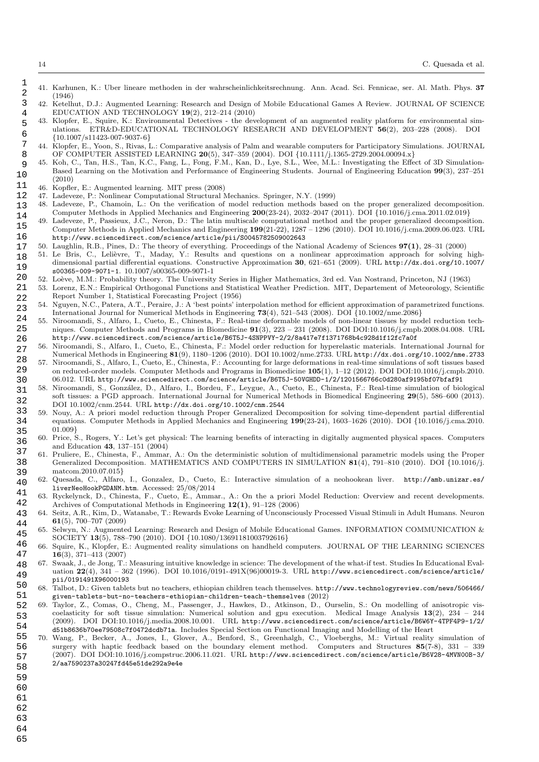- 41. Karhunen, K.: Uber lineare methoden in der wahrscheinlichkeitsrechnung. Ann. Acad. Sci. Fennicae, ser. Al. Math. Phys. 37 (1946)
- 42. Ketelhut, D.J.: Augmented Learning: Research and Design of Mobile Educational Games A Review. JOURNAL OF SCIENCE EDUCATION AND TECHNOLOGY 19(2), 212–214 (2010)
- 43. Klopfer, E., Squire, K.: Environmental Detectives the development of an augmented reality platform for environmental simulations. ETR&D-EDUCATIONAL TECHNOLOGY RESEARCH AND DEVELOPMENT 56(2), 203–228 (2008). DOI {10.1007/s11423-007-9037-6} 5
- 44. Klopfer, E., Yoon, S., Rivas, L.: Comparative analysis of Palm and wearable computers for Participatory Simulations. JOURNAL OF COMPUTER ASSISTED LEARNING 20(5), 347–359 (2004). DOI {10.1111/j.1365-2729.2004.00094.x} 7 8
- 45. Koh, C., Tan, H.S., Tan, K.C., Fang, L., Fong, F.M., Kan, D., Lye, S.L., Wee, M.L.: Investigating the Effect of 3D Simulation-Based Learning on the Motivation and Performance of Engineering Students. Journal of Engineering Education 99(3), 237–251 (2010) 9 10
- 46. Kopfler, E.: Augmented learning. MIT press (2008) 11

- 47. Ladeveze, P.: Nonlinear Computational Structural Mechanics. Springer, N.Y. (1999) 12
- 48. Ladeveze, P., Chamoin, L.: On the verification of model reduction methods based on the proper generalized decomposition. Computer Methods in Applied Mechanics and Engineering 200(23-24), 2032–2047 (2011). DOI {10.1016/j.cma.2011.02.019} 13 14
- Ladeveze, P., Passieux, J.C., Neron, D.: The latin multiscale computational method and the proper generalized decomposition. Computer Methods in Applied Mechanics and Engineering 199(21-22), 1287 – 1296 (2010). DOI 10.1016/j.cma.2009.06.023. URL http://www.sciencedirect.com/science/article/pii/S0045782509002643 15 16
- 50. Laughlin, R.B., Pines, D.: The theory of everything. Proceedings of the National Academy of Sciences 97(1), 28–31 (2000) 17
- 51. Le Bris, C., Lelièvre, T., Maday, Y.: Results and questions on a nonlinear approximation approach for solving highdimensional partial differential equations. Constructive Approximation 30, 621–651 (2009). URL http://dx.doi.org/10.1007/ s00365-009-9071-1. 10.1007/s00365-009-9071-1 18 19
- 52. Lo`eve, M.M.: Probability theory. The University Series in Higher Mathematics, 3rd ed. Van Nostrand, Princeton, NJ (1963) 20
- 53. Lorenz, E.N.: Empirical Orthogonal Functions and Statistical Weather Prediction. MIT, Departement of Meteorology, Scientific Report Number 1, Statistical Forecasting Project (1956) 21 22
- 54. Nguyen, N.C., Patera, A.T., Peraire, J.: A 'best points' interpolation method for efficient approximation of parametrized functions. International Journal for Numerical Methods in Engineering 73(4), 521–543 (2008). DOI {10.1002/nme.2086} 23 24
- 55. Niroomandi, S., Alfaro, I., Cueto, E., Chinesta, F.: Real-time deformable models of non-linear tissues by model reduction techniques. Computer Methods and Programs in Biomedicine 91(3), 223 – 231 (2008). DOI DOI:10.1016/j.cmpb.2008.04.008. URL http://www.sciencedirect.com/science/article/B6T5J-4SNPPVY-2/2/8a417e7f1371768b4c928d1f12fc7a0f 25 26
- 56. Niroomandi, S., Alfaro, I., Cueto, E., Chinesta, F.: Model order reduction for hyperelastic materials. International Journal for Numerical Methods in Engineering 81(9), 1180–1206 (2010). DOI 10.1002/nme.2733. URL http://dx.doi.org/10.1002/nme.2733 27
- 57. Niroomandi, S., Alfaro, I., Cueto, E., Chinesta, F.: Accounting for large deformations in real-time simulations of soft tissues based on reduced-order models. Computer Methods and Programs in Biomedicine 105(1), 1–12 (2012). DOI DOI:10.1016/j.cmpb.2010. 06.012. URL http://www.sciencedirect.com/science/article/B6T5J-50VGHDD-1/2/1201566766c0d280af9195bf07bfaf91 28 29 30
- 58. Niroomandi, S., Gonz´alez, D., Alfaro, I., Bordeu, F., Leygue, A., Cueto, E., Chinesta, F.: Real-time simulation of biological soft tissues: a PGD approach. International Journal for Numerical Methods in Biomedical Engineering 29(5), 586–600 (2013). DOI 10.1002/cnm.2544. URL http://dx.doi.org/10.1002/cnm.2544 31 32
- 59. Nouy, A.: A priori model reduction through Proper Generalized Decomposition for solving time-dependent partial differential equations. Computer Methods in Applied Mechanics and Engineering 199(23-24), 1603–1626 (2010). DOI {10.1016/j.cma.2010. 01.009} 33 34 35
- 60. Price, S., Rogers, Y.: Let's get physical: The learning benefits of interacting in digitally augmented physical spaces. Computers and Education 43, 137–151 (2004) 36
- 61. Pruliere, E., Chinesta, F., Ammar, A.: On the deterministic solution of multidimensional parametric models using the Proper Generalized Decomposition. MATHEMATICS AND COMPUTERS IN SIMULATION 81(4), 791–810 (2010). DOI {10.1016/j. matcom.2010.07.015} 37 38 39
- 62. Quesada, C., Alfaro, I., Gonzalez, D., Cueto, E.: Interactive simulation of a neohookean liver. http://amb.unizar.es/ liverNeoHookPGDANM.htm. Accessed: 25/08/2014 40 41
- 63. Ryckelynck, D., Chinesta, F., Cueto, E., Ammar., A.: On the a priori Model Reduction: Overview and recent developments. Archives of Computational Methods in Engineering 12(1), 91–128 (2006) 42
- 64. Seitz, A.R., Kim, D., Watanabe, T.: Rewards Evoke Learning of Unconsciously Processed Visual Stimuli in Adult Humans. Neuron 61(5), 700–707 (2009) 43 44
- 65. Selwyn, N.: Augmented Learning: Research and Design of Mobile Educational Games. INFORMATION COMMUNICATION & SOCIETY 13(5), 788–790 (2010). DOI {10.1080/13691181003792616} 45
- 66. Squire, K., Klopfer, E.: Augmented reality simulations on handheld computers. JOURNAL OF THE LEARNING SCIENCES 16(3), 371–413 (2007) 46 47
- 67. Swaak, J., de Jong, T.: Measuring intuitive knowledge in science: The development of the what-if test. Studies In Educational Evaluation 22(4), 341 - 362 (1996). DOI 10.1016/0191-491X(96)00019-3. URL http://www.sciencedirect.com/science/article/ pii/0191491X96000193 48 49
- 68. Talbot, D.: Given tablets but no teachers, ethiopian children teach themselves. http://www.technologyreview.com/news/506466/ given-tablets-but-no-teachers-ethiopian-children-teach-themselves (2012) 50 51
- 69. Taylor, Z., Comas, O., Cheng, M., Passenger, J., Hawkes, D., Atkinson, D., Ourselin, S.: On modelling of anisotropic viscoelasticity for soft tissue simulation: Numerical solution and gpu execution. Medical Image Analysis 13(2), 234 – 244 (2009). DOI DOI:10.1016/j.media.2008.10.001. URL http://www.sciencedirect.com/science/article/B6W6Y-4TPF4P9-1/2/ d51b8636b70ee79508c7f0472dcdb71a. Includes Special Section on Functional Imaging and Modelling of the Heart 52 53 54
- 70. Wang, P., Becker, A., Jones, I., Glover, A., Benford, S., Greenhalgh, C., Vloeberghs, M.: Virtual reality simulation of surgery with haptic feedback based on the boundary element method. Computers and Structures 85(7-8), 331 – 339 (2007). DOI DOI:10.1016/j.compstruc.2006.11.021. URL http://www.sciencedirect.com/science/article/B6V28-4MVN00B-3/ 2/aa7590237a30247fd45e51de292a9e4e 55 56 57 58
- 
- 59
- 60
- 61
- 62 63
- 64
- 65